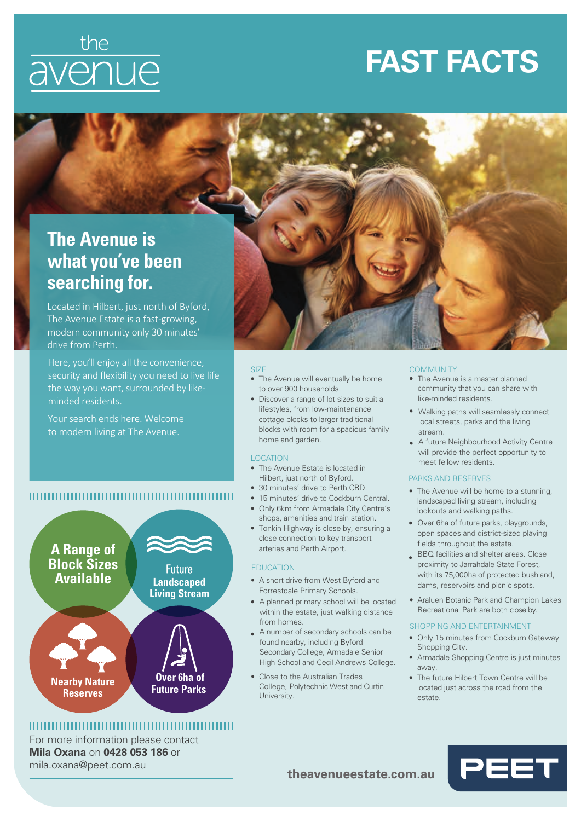# the<br>avenue

## **FAST FACTS**

### **The Avenue is what you've been searching for.**

Located in Hilbert, just north of Byford, The Avenue Estate is a fast-growing, modern community only 30 minutes' drive from Perth.

Here, you'll enjoy all the convenience, security and flexibility you need to live life the way you want, surrounded by likeminded residents.

Your search ends here. Welcome to modern living at The Avenue.

**A Range of Block Sizes Available**

**Nearby Nature Reserves**



#### **SIZE**

- The Avenue will eventually be home to over 900 households.
- Discover a range of lot sizes to suit all lifestyles, from low-maintenance cottage blocks to larger traditional blocks with room for a spacious family home and garden.

#### LOCATION

- The Avenue Estate is located in Hilbert, just north of Byford.
- 30 minutes' drive to Perth CBD.
- 15 minutes' drive to Cockburn Central.
- Only 6km from Armadale City Centre's shops, amenities and train station.
- Tonkin Highway is close by, ensuring a close connection to key transport arteries and Perth Airport.

#### EDUCATION

- A short drive from West Byford and Forrestdale Primary Schools.
- A planned primary school will be located within the estate, just walking distance from homes.
- A number of secondary schools can be found nearby, including Byford Secondary College, Armadale Senior High School and Cecil Andrews College.
- Close to the Australian Trades College, Polytechnic West and Curtin University.

#### **COMMUNITY**

- The Avenue is a master planned community that you can share with like-minded residents.
- Walking paths will seamlessly connect local streets, parks and the living stream.
- A future Neighbourhood Activity Centre will provide the perfect opportunity to meet fellow residents.

#### PARKS AND RESERVES

- The Avenue will be home to a stunning, landscaped living stream, including lookouts and walking paths.
- Over 6ha of future parks, playgrounds, open spaces and district-sized playing fields throughout the estate.
- BBQ facilities and shelter areas. Close proximity to Jarrahdale State Forest, with its 75,000ha of protected bushland, dams, reservoirs and picnic spots.
- Araluen Botanic Park and Champion Lakes Recreational Park are both close by.

#### SHOPPING AND ENTERTAINMENT

- Only 15 minutes from Cockburn Gateway Shopping City.
- Armadale Shopping Centre is just minutes away.
- The future Hilbert Town Centre will be located just across the road from the estate.

#### 

Future **Landscaped Living Stream**

 **Over 6ha of Future Parks**

For more information please contact **Mila Oxana** on **0428 053 186** or mila.oxana@peet.com.au

#### **theavenueestate.com.au**